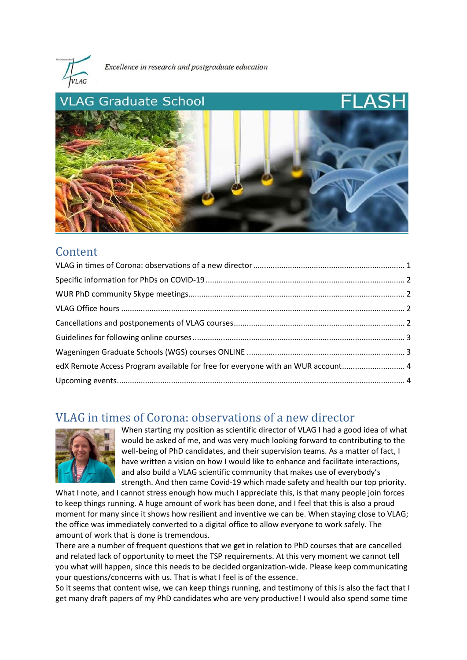

Excellence in research and postgraduate education



### Content

| edX Remote Access Program available for free for everyone with an WUR account 4 |  |
|---------------------------------------------------------------------------------|--|
|                                                                                 |  |

### <span id="page-0-0"></span>VLAG in times of Corona: observations of a new director



When starting my position as scientific director of VLAG I had a good idea of what would be asked of me, and was very much looking forward to contributing to the well-being of PhD candidates, and their supervision teams. As a matter of fact, I have written a vision on how I would like to enhance and facilitate interactions, and also build a VLAG scientific community that makes use of everybody's strength. And then came Covid-19 which made safety and health our top priority.

What I note, and I cannot stress enough how much I appreciate this, is that many people join forces to keep things running. A huge amount of work has been done, and I feel that this is also a proud moment for many since it shows how resilient and inventive we can be. When staying close to VLAG; the office was immediately converted to a digital office to allow everyone to work safely. The amount of work that is done is tremendous.

There are a number of frequent questions that we get in relation to PhD courses that are cancelled and related lack of opportunity to meet the TSP requirements. At this very moment we cannot tell you what will happen, since this needs to be decided organization-wide. Please keep communicating your questions/concerns with us. That is what I feel is of the essence.

So it seems that content wise, we can keep things running, and testimony of this is also the fact that I get many draft papers of my PhD candidates who are very productive! I would also spend some time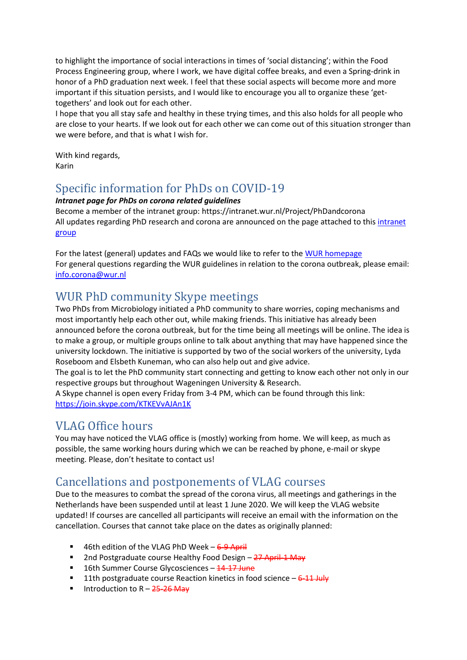to highlight the importance of social interactions in times of 'social distancing'; within the Food Process Engineering group, where I work, we have digital coffee breaks, and even a Spring-drink in honor of a PhD graduation next week. I feel that these social aspects will become more and more important if this situation persists, and I would like to encourage you all to organize these 'gettogethers' and look out for each other.

I hope that you all stay safe and healthy in these trying times, and this also holds for all people who are close to your hearts. If we look out for each other we can come out of this situation stronger than we were before, and that is what I wish for.

With kind regards, Karin

# <span id="page-1-0"></span>Specific information for PhDs on COVID-19

#### *Intranet page for PhDs on corona related guidelines*

Become a member of the intranet group: https://intranet.wur.nl/Project/PhDandcorona All updates regarding PhD research and corona are announced on the page attached to thi[s intranet](https://intranet.wur.nl/Project/PhDandcorona/Pages/jhNwcCdb3k6jZKszLPeWSw)  [group](https://intranet.wur.nl/Project/PhDandcorona/Pages/jhNwcCdb3k6jZKszLPeWSw)

For the latest (general) updates and FAQs we would like to refer to the [WUR homepage](https://www.wur.nl/en/news-wur/show-day/WUR-guidelines-and-updates-in-relation-to-corona-outbreak.htm) For general questions regarding the WUR guidelines in relation to the corona outbreak, please email: [info.corona@wur.nl](mailto:info.corona@wur.nl)

# <span id="page-1-1"></span>WUR PhD community Skype meetings

Two PhDs from Microbiology initiated a PhD community to share worries, coping mechanisms and most importantly help each other out, while making friends. This initiative has already been announced before the corona outbreak, but for the time being all meetings will be online. The idea is to make a group, or multiple groups online to talk about anything that may have happened since the university lockdown. The initiative is supported by two of the social workers of the university, Lyda Roseboom and Elsbeth Kuneman, who can also help out and give advice.

The goal is to let the PhD community start connecting and getting to know each other not only in our respective groups but throughout Wageningen University & Research.

A Skype channel is open every Friday from 3-4 PM, which can be found through this link: <https://join.skype.com/KTKEVvAJAn1K>

### <span id="page-1-2"></span>VLAG Office hours

You may have noticed the VLAG office is (mostly) working from home. We will keep, as much as possible, the same working hours during which we can be reached by phone, e-mail or skype meeting. Please, don't hesitate to contact us!

## <span id="page-1-3"></span>Cancellations and postponements of VLAG courses

Due to the measures to combat the spread of the corona virus, all meetings and gatherings in the Netherlands have been suspended until at least 1 June 2020. We will keep the VLAG website updated! If courses are cancelled all participants will receive an email with the information on the cancellation. Courses that cannot take place on the dates as originally planned:

- 46th edition of the VLAG PhD Week 6-9 April
- **2008** 2nd Postgraduate course Healthy Food Design 27 April-1 May
- 16th Summer Course Glycosciences 14-17 June
- **11th postgraduate course Reaction kinetics in food science**  $-6-11$  **July**
- Introduction to  $R 25-26$  May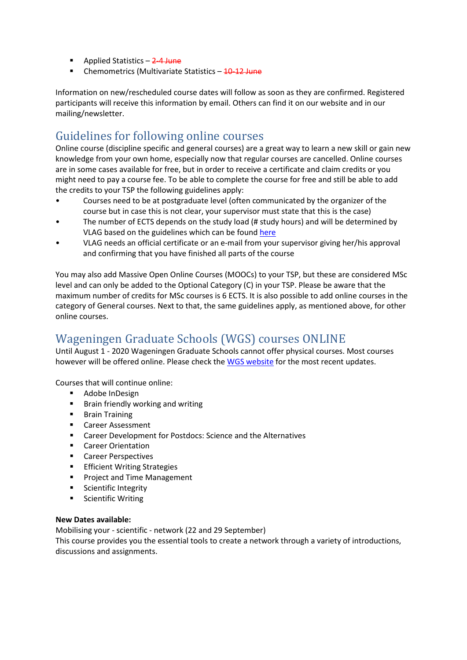- Applied Statistics  $-2-4$  June
- Chemometrics (Multivariate Statistics 10-12 June

Information on new/rescheduled course dates will follow as soon as they are confirmed. Registered participants will receive this information by email. Others can find it on our website and in our mailing/newsletter.

## <span id="page-2-0"></span>Guidelines for following online courses

Online course (discipline specific and general courses) are a great way to learn a new skill or gain new knowledge from your own home, especially now that regular courses are cancelled. Online courses are in some cases available for free, but in order to receive a certificate and claim credits or you might need to pay a course fee. To be able to complete the course for free and still be able to add the credits to your TSP the following guidelines apply:

- Courses need to be at postgraduate level (often communicated by the organizer of the course but in case this is not clear, your supervisor must state that this is the case)
- The number of ECTS depends on the study load (# study hours) and will be determined by VLAG based on the guidelines which can be found [here](https://www.vlaggraduateschool.nl/en/phd-candidates/educational_programme.htm)
- VLAG needs an official certificate or an e-mail from your supervisor giving her/his approval and confirming that you have finished all parts of the course

You may also add Massive Open Online Courses (MOOCs) to your TSP, but these are considered MSc level and can only be added to the Optional Category (C) in your TSP. Please be aware that the maximum number of credits for MSc courses is 6 ECTS. It is also possible to add online courses in the category of General courses. Next to that, the same guidelines apply, as mentioned above, for other online courses.

# <span id="page-2-1"></span>Wageningen Graduate Schools (WGS) courses ONLINE

Until August 1 - 2020 Wageningen Graduate Schools cannot offer physical courses. Most courses however will be offered online. Please check th[e WGS website](https://wgs.crs.wur.nl/) for the most recent updates.

Courses that will continue online:

- **-** [Adobe InDesign](https://wgs.crs.wur.nl/courses/details/335)
- **[Brain friendly working and writing](https://wgs.crs.wur.nl/courses/details/337)**
- **[Brain Training](https://wgs.crs.wur.nl/courses/details/103)**
- **[Career Assessment](https://wgs.crs.wur.nl/courses/details/60)**
- [Career Development for Postdocs: Science and the Alternatives](https://wgs.crs.wur.nl/courses/details/99)
- **EXEC** [Career Orientation](https://wgs.crs.wur.nl/courses/details/58)
- **[Career Perspectives](https://wgs.crs.wur.nl/courses/details/59)**
- **[Efficient Writing Strategies](http://www.wur.nl/en/show/Efficient-Writing-Strategies.htm)**
- **[Project and Time Management](https://wgs.crs.wur.nl/courses/details/34)**
- **[Scientific Integrity](https://wgs.crs.wur.nl/courses/details/117)**
- **E** [Scientific Writing](http://www.wur.nl/en/show/Scientific-Writing-1.htm)

#### **New Dates available:**

[Mobilising your -](https://wgs.crs.wur.nl/courses/details/63) scientific - network (22 and 29 September)

This course provides you the essential tools to create a network through a variety of introductions, discussions and assignments.